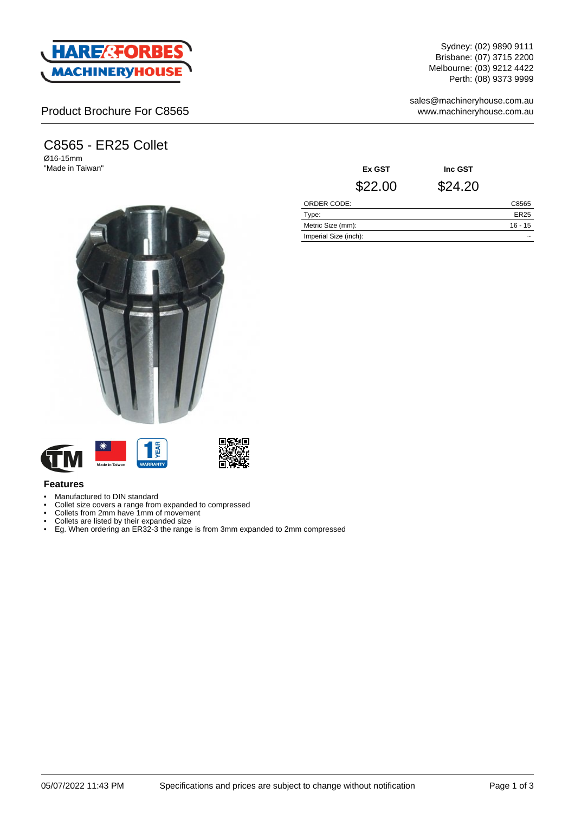

### Product Brochure For C8565

# C8565 - ER25 Collet

Ø16-15mm "Made in Taiwan"





#### **Features**

- Manufactured to DIN standard
- Collet size covers a range from expanded to compressed
- Collets from 2mm have 1mm of movement
- Collets are listed by their expanded size
- Eg. When ordering an ER32-3 the range is from 3mm expanded to 2mm compressed

Sydney: (02) 9890 9111 Brisbane: (07) 3715 2200 Melbourne: (03) 9212 4422 Perth: (08) 9373 9999

sales@machineryhouse.com.au www.machineryhouse.com.au

| Ex GST                | Inc GST |             |
|-----------------------|---------|-------------|
| \$22.00               | \$24.20 |             |
| ORDER CODE:           |         | C8565       |
| Type:                 |         | <b>ER25</b> |
| Metric Size (mm):     |         | $16 - 15$   |
| Imperial Size (inch): |         |             |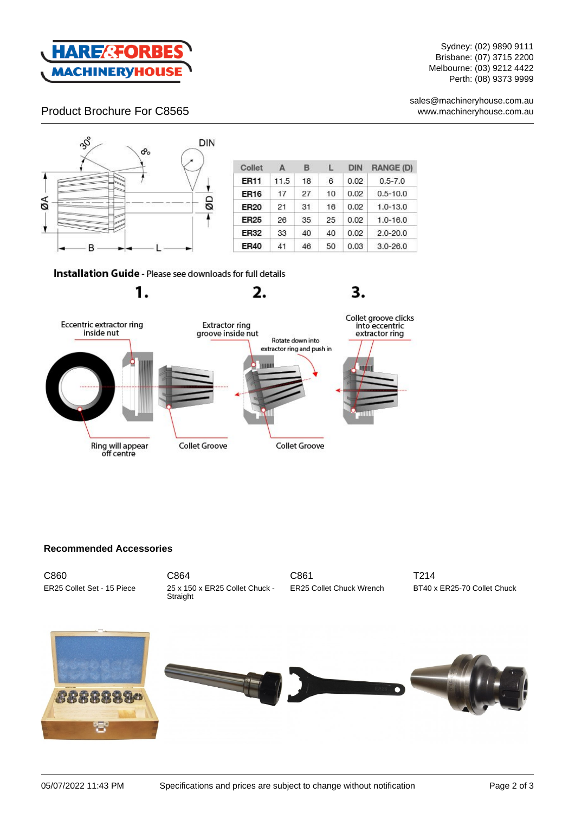

Sydney: (02) 9890 9111 Brisbane: (07) 3715 2200 Melbourne: (03) 9212 4422 Perth: (08) 9373 9999

sales@machineryhouse.com.au www.machineryhouse.com.au

### Product Brochure For C8565



1.

| Collet      | A    | в  | L  | DIN  | <b>RANGE (D)</b> |
|-------------|------|----|----|------|------------------|
| <b>ER11</b> | 11.5 | 18 | 6  | 0.02 | $0.5 - 7.0$      |
| <b>ER16</b> | 17   | 27 | 10 | 0.02 | $0.5 - 10.0$     |
| <b>ER20</b> | 21   | 31 | 16 | 0.02 | $1.0 - 13.0$     |
| <b>ER25</b> | 26   | 35 | 25 | 0.02 | $1.0 - 16.0$     |
| <b>ER32</b> | 33   | 40 | 40 | 0.02 | $2.0 - 20.0$     |
| <b>ER40</b> | 41   | 46 | 50 | 0.03 | $3.0 - 26.0$     |

3.

Installation Guide - Please see downloads for full details



2.

#### **Recommended Accessories**

| C860                       |
|----------------------------|
| ER25 Collet Set - 15 Piece |

C864 25 x 150 x ER25 Collet Chuck - Straight

C861 ER25 Collet Chuck Wrench

T214 BT40 x ER25-70 Collet Chuck